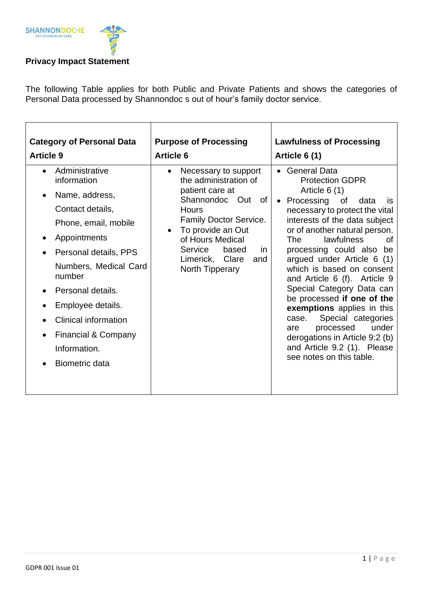

The following Table applies for both Public and Private Patients and shows the categories of Personal Data processed by Shannondoc s out of hour's family doctor service.

| <b>Category of Personal Data</b>                                                                                                                                                                                                                                                                                                                                    | <b>Purpose of Processing</b>                                                                                                                                                                                                                                                      | <b>Lawfulness of Processing</b>                                                                                                                                                                                                                                                                                                                                                                                                                                                                                                                                                                                                         |
|---------------------------------------------------------------------------------------------------------------------------------------------------------------------------------------------------------------------------------------------------------------------------------------------------------------------------------------------------------------------|-----------------------------------------------------------------------------------------------------------------------------------------------------------------------------------------------------------------------------------------------------------------------------------|-----------------------------------------------------------------------------------------------------------------------------------------------------------------------------------------------------------------------------------------------------------------------------------------------------------------------------------------------------------------------------------------------------------------------------------------------------------------------------------------------------------------------------------------------------------------------------------------------------------------------------------------|
| <b>Article 9</b>                                                                                                                                                                                                                                                                                                                                                    | <b>Article 6</b>                                                                                                                                                                                                                                                                  | Article 6 (1)                                                                                                                                                                                                                                                                                                                                                                                                                                                                                                                                                                                                                           |
| Administrative<br>$\bullet$<br>information<br>Name, address,<br>$\bullet$<br>Contact details,<br>Phone, email, mobile<br>Appointments<br>$\bullet$<br>Personal details, PPS<br>$\bullet$<br>Numbers, Medical Card<br>number<br>Personal details.<br>Employee details.<br>Clinical information<br>Financial & Company<br>$\bullet$<br>Information.<br>Biometric data | Necessary to support<br>$\bullet$<br>the administration of<br>patient care at<br>Shannondoc Out of<br><b>Hours</b><br><b>Family Doctor Service.</b><br>To provide an Out<br>$\bullet$<br>of Hours Medical<br>Service<br>based<br>in.<br>Limerick, Clare<br>and<br>North Tipperary | <b>General Data</b><br>$\bullet$<br><b>Protection GDPR</b><br>Article $6(1)$<br>Processing<br>0f<br>data<br><b>is</b><br>necessary to protect the vital<br>interests of the data subject<br>or of another natural person.<br>lawfulness<br><b>The</b><br>Ωf<br>processing could also<br>be<br>argued under Article 6 (1)<br>which is based on consent<br>and Article 6 (f). Article 9<br>Special Category Data can<br>be processed if one of the<br>exemptions applies in this<br>Special categories<br>case.<br>processed<br>under<br>are<br>derogations in Article 9:2 (b)<br>and Article 9.2 (1). Please<br>see notes on this table. |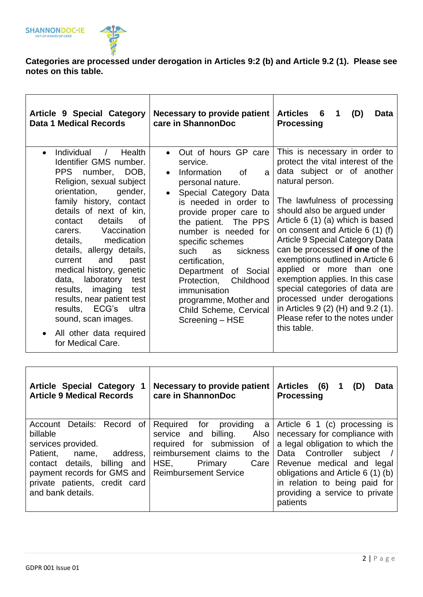

## **Categories are processed under derogation in Articles 9:2 (b) and Article 9.2 (1). Please see notes on this table.**

| <b>Article 9 Special Category</b><br><b>Data 1 Medical Records</b>                                                                                                                                                                                                                                                                                                                                                                                                                                                                                                                  | Necessary to provide patient<br>care in ShannonDoc                                                                                                                                                                                                                                                                                                                                                                                                                    | <b>Articles</b><br>6<br>1<br>(D)<br>Data<br><b>Processing</b>                                                                                                                                                                                                                                                                                                                                                                                                                                                                                                                                         |
|-------------------------------------------------------------------------------------------------------------------------------------------------------------------------------------------------------------------------------------------------------------------------------------------------------------------------------------------------------------------------------------------------------------------------------------------------------------------------------------------------------------------------------------------------------------------------------------|-----------------------------------------------------------------------------------------------------------------------------------------------------------------------------------------------------------------------------------------------------------------------------------------------------------------------------------------------------------------------------------------------------------------------------------------------------------------------|-------------------------------------------------------------------------------------------------------------------------------------------------------------------------------------------------------------------------------------------------------------------------------------------------------------------------------------------------------------------------------------------------------------------------------------------------------------------------------------------------------------------------------------------------------------------------------------------------------|
| Individual<br>Health<br>$\overline{1}$<br>$\bullet$<br>Identifier GMS number.<br><b>PPS</b><br>number, DOB,<br>Religion, sexual subject<br>orientation,<br>gender,<br>family history, contact<br>details of next of kin,<br>details<br>contact<br>Ωf<br>carers. Vaccination<br>medication<br>details,<br>details, allergy details,<br>current<br>and<br>past<br>medical history, genetic<br>laboratory<br>data,<br>test<br>results, imaging<br>test<br>results, near patient test<br>results, ECG's<br>ultra<br>sound, scan images.<br>All other data required<br>for Medical Care. | Out of hours GP care<br>$\bullet$<br>service.<br>Information<br>0f<br>a<br>$\bullet$<br>personal nature.<br>Special Category Data<br>$\bullet$<br>is needed in order to<br>provide proper care to<br>the patient. The PPS<br>number is needed for<br>specific schemes<br>such<br>sickness<br><b>as</b><br>certification,<br>Department<br>of Social<br>Protection,<br>Childhood<br>immunisation<br>programme, Mother and<br>Child Scheme, Cervical<br>Screening - HSE | This is necessary in order to<br>protect the vital interest of the<br>data subject or of another<br>natural person.<br>The lawfulness of processing<br>should also be argued under<br>Article 6 (1) (a) which is based<br>on consent and Article 6 (1) (f)<br><b>Article 9 Special Category Data</b><br>can be processed if one of the<br>exemptions outlined in Article 6<br>applied or more than one<br>exemption applies. In this case<br>special categories of data are<br>processed under derogations<br>in Articles $9(2)$ (H) and $9.2(1)$ .<br>Please refer to the notes under<br>this table. |

| <b>Article Special Category</b><br>-1<br><b>Article 9 Medical Records</b>                                                                                                                                                                           | <b>Necessary to provide patient</b><br>care in ShannonDoc                                                                                             | <b>Articles</b><br>(6)<br>(D)<br>Data<br><b>Processing</b>                                                                                                                                                                                                                              |
|-----------------------------------------------------------------------------------------------------------------------------------------------------------------------------------------------------------------------------------------------------|-------------------------------------------------------------------------------------------------------------------------------------------------------|-----------------------------------------------------------------------------------------------------------------------------------------------------------------------------------------------------------------------------------------------------------------------------------------|
| Details:<br>Record<br>Account<br>0f<br>billable<br>services provided.<br>Patient,<br>address,<br>name,<br>contact details, billing and<br>payment records for GMS and   Reimbursement Service<br>private patients, credit card<br>and bank details. | Required for<br>providing a<br>Also I<br>service and billing.<br>required for submission of<br>reimbursement claims to the<br>HSE,<br>Primary<br>Care | Article 6 1 (c) processing is<br>necessary for compliance with<br>a legal obligation to which the<br>Controller<br>subject /<br>Data<br>Revenue medical and legal<br>obligations and Article 6 (1) (b)  <br>in relation to being paid for<br>providing a service to private<br>patients |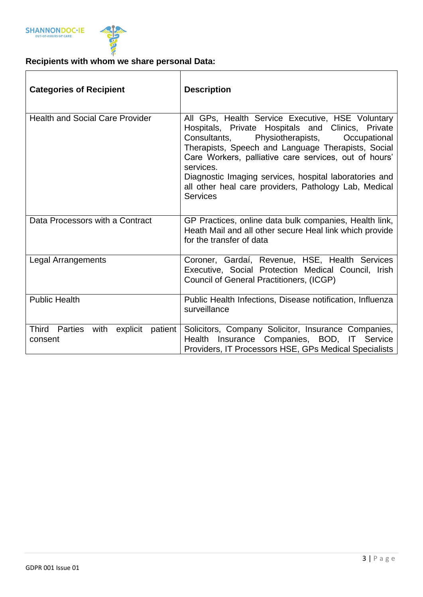

## **Recipients with whom we share personal Data:**

| <b>Categories of Recipient</b>                                    | <b>Description</b>                                                                                                                                                                                                                                                                                                                                                                                                        |  |  |
|-------------------------------------------------------------------|---------------------------------------------------------------------------------------------------------------------------------------------------------------------------------------------------------------------------------------------------------------------------------------------------------------------------------------------------------------------------------------------------------------------------|--|--|
| <b>Health and Social Care Provider</b>                            | All GPs, Health Service Executive, HSE Voluntary<br>Hospitals, Private Hospitals and Clinics, Private<br>Physiotherapists, Occupational<br>Consultants,<br>Therapists, Speech and Language Therapists, Social<br>Care Workers, palliative care services, out of hours'<br>services.<br>Diagnostic Imaging services, hospital laboratories and<br>all other heal care providers, Pathology Lab, Medical<br><b>Services</b> |  |  |
| Data Processors with a Contract                                   | GP Practices, online data bulk companies, Health link,<br>Heath Mail and all other secure Heal link which provide<br>for the transfer of data                                                                                                                                                                                                                                                                             |  |  |
| Legal Arrangements                                                | Coroner, Gardaí, Revenue, HSE, Health Services<br>Executive, Social Protection Medical Council, Irish<br>Council of General Practitioners, (ICGP)                                                                                                                                                                                                                                                                         |  |  |
| <b>Public Health</b>                                              | Public Health Infections, Disease notification, Influenza<br>surveillance                                                                                                                                                                                                                                                                                                                                                 |  |  |
| <b>Third</b><br>Parties<br>with<br>explicit<br>patient<br>consent | Solicitors, Company Solicitor, Insurance Companies,<br>Insurance Companies, BOD, IT Service<br>Health<br>Providers, IT Processors HSE, GPs Medical Specialists                                                                                                                                                                                                                                                            |  |  |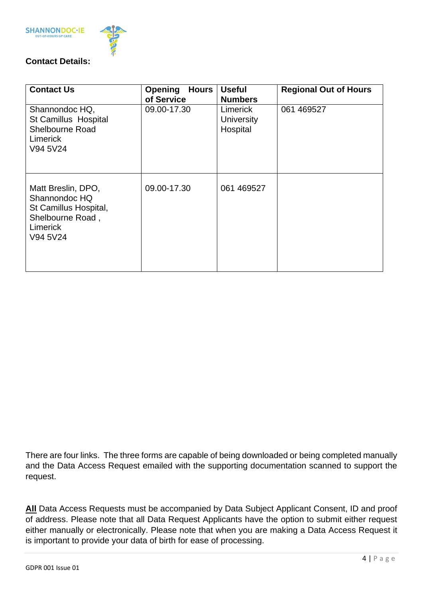



## **Contact Details:**

| <b>Contact Us</b>                                                                                        | <b>Opening Hours</b><br>of Service | <b>Useful</b><br><b>Numbers</b>           | <b>Regional Out of Hours</b> |
|----------------------------------------------------------------------------------------------------------|------------------------------------|-------------------------------------------|------------------------------|
| Shannondoc HQ,<br><b>St Camillus Hospital</b><br>Shelbourne Road<br><b>Limerick</b><br>V94 5V24          | 09.00-17.30                        | Limerick<br><b>University</b><br>Hospital | 061 469527                   |
| Matt Breslin, DPO,<br>Shannondoc HQ<br>St Camillus Hospital,<br>Shelbourne Road,<br>Limerick<br>V94 5V24 | 09.00-17.30                        | 061 469527                                |                              |

There are four links. The three forms are capable of being downloaded or being completed manually and the Data Access Request emailed with the supporting documentation scanned to support the request.

**All** Data Access Requests must be accompanied by Data Subject Applicant Consent, ID and proof of address. Please note that all Data Request Applicants have the option to submit either request either manually or electronically. Please note that when you are making a Data Access Request it is important to provide your data of birth for ease of processing.